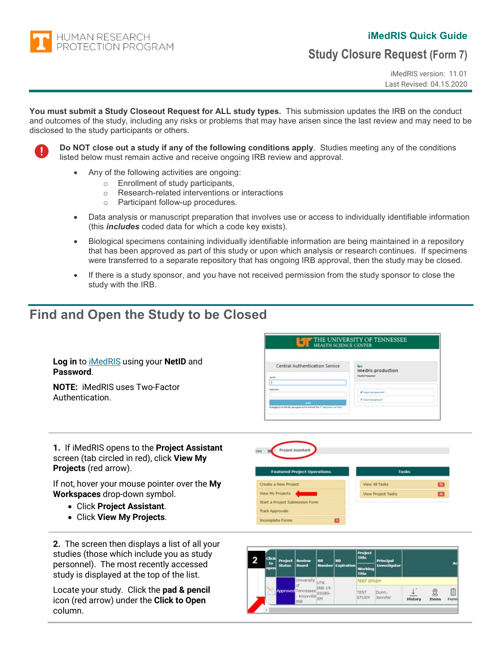**HUMAN RESEARCH** PROTECTION PROGRAM

## **iMedRIS Quick Guide**

**Study Closure Request (Form 7)**

iMedRIS version: 11.01 Last Revised: 04.15.2020

**You must submit a Study Closeout Request for ALL study types.** This submission updates the IRB on the conduct and outcomes of the study, including any risks or problems that may have arisen since the last review and may need to be disclosed to the study participants or others.

<u>n</u>

**Do NOT close out a study if any of the following conditions apply**. Studies meeting any of the conditions listed below must remain active and receive ongoing IRB review and approval.

- Any of the following activities are ongoing:
	- o Enrollment of study participants,
	- Research-related interventions or interactions<br>○ Participant follow-up procedures
	- Participant follow-up procedures.
- Data analysis or manuscript preparation that involves use or access to individually identifiable information (this *includes* coded data for which a code key exists).
- Biological specimens containing individually identifiable information are being maintained in a repository that has been approved as part of this study or upon which analysis or research continues. If specimens were transferred to a separate repository that has ongoing IRB approval, then the study may be closed.
- If there is a study sponsor, and you have not received permission from the study sponsor to close the study with the IRB.

# **Find and Open the Study to be Closed**

| Log in to <i>iMedRIS</i> using your NetID and<br>Password. | Central Authentication Service<br>Netto                                                               | <b>Salt</b><br>imedris-production<br><b>Integrits' Insurances</b> |
|------------------------------------------------------------|-------------------------------------------------------------------------------------------------------|-------------------------------------------------------------------|
| <b>NOTE: iMedRIS uses Two-Factor</b><br>Authentication.    | Pastosted                                                                                             | <b>A</b> Regension passware!                                      |
|                                                            | <b>Service</b><br>Bylagging in narthis alta, you agree to the terminal the UT best make use in holicy | P Need help disning in !                                          |

**1.** If iMedRIS opens to the **Project Assistant** screen (tab circled in red), click **View My Projects** (red arrow).

If not, hover your mouse pointer over the **My Workspaces** drop-down symbol.

- Click **Project Assistant**.
- Click **View My Projects**.

**2.** The screen then displays a list of all your studies (those which include you as study personnel). The most recently accessed study is displayed at the top of the list.

Locate your study. Click the **pad & pencil** icon (red arrow) under the **Click to Open** column.



**THE UNIVERSITY OF TENNESSEE** 

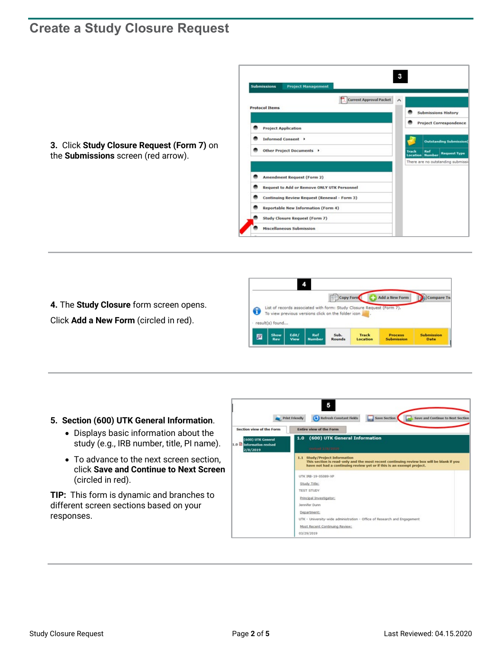# **Create a Study Closure Request**

**3.** Click **Study Closure Request (Form 7)** on the **Submissions** screen (red arrow).





**4.** The **Study Closure** form screen opens. Click **Add a New Form** (circled in red).

### **5. Section (600) UTK General Information**.

- Displays basic information about the study (e.g., IRB number, title, PI name).
- To advance to the next screen section, click **Save and Continue to Next Screen** (circled in red).

**TIP:** This form is dynamic and branches to different screen sections based on your responses.

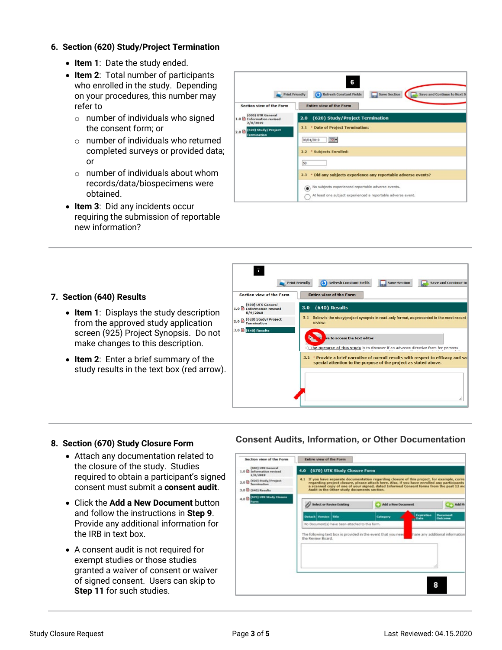### **6. Section (620) Study/Project Termination**

- **Item 1**: Date the study ended.
- **Item 2**: Total number of participants who enrolled in the study. Depending on your procedures, this number may refer to
	- o number of individuals who signed the consent form; or
	- o number of individuals who returned completed surveys or provided data; or
	- $\circ$  number of individuals about whom records/data/biospecimens were obtained.
- **Item 3**: Did any incidents occur requiring the submission of reportable new information?

| <b>Print Friendly</b>                                          | 6<br>Refresh Constant Fields<br>Save Section<br>Save and Continue to Next So |
|----------------------------------------------------------------|------------------------------------------------------------------------------|
| Section view of the Form                                       | <b>Entire view of the Form</b>                                               |
| (600) UTK General<br>1.0 Information revised<br>2/8/2019       | 2.0 (620) Study/Project Termination                                          |
| (620) Study/Project<br>2.0 <sup>th</sup><br><b>Termination</b> | 2.1 * Date of Project Termination:                                           |
|                                                                | <b>TO +</b><br>09/01/2019                                                    |
|                                                                | * Subjects Enrolled:<br>2.2                                                  |
|                                                                | 50                                                                           |
|                                                                | * Did any subjects experience any reportable adverse events?<br>2.3          |
|                                                                | No subjects experienced reportable adverse events.<br>⊙)                     |
|                                                                | At least one subject experienced a reportable adverse event.                 |



### **7. Section (640) Results**

- **Item 1**: Displays the study description from the approved study application screen (925) Project Synopsis. Do not make changes to this description.
- **Item 2**: Enter a brief summary of the study results in the text box (red arrow).

## **8. Section (670) Study Closure Form**

- Attach any documentation related to the closure of the study. Studies required to obtain a participant's signed consent must submit a **consent audit**.
- Click the **Add a New Document** button and follow the instructions in **Step 9**. Provide any additional information for the IRB in text box.
- A consent audit is not required for exempt studies or those studies granted a waiver of consent or waiver of signed consent. Users can skip to **Step 11** for such studies.

## **Consent Audits, Information, or Other Documentation**

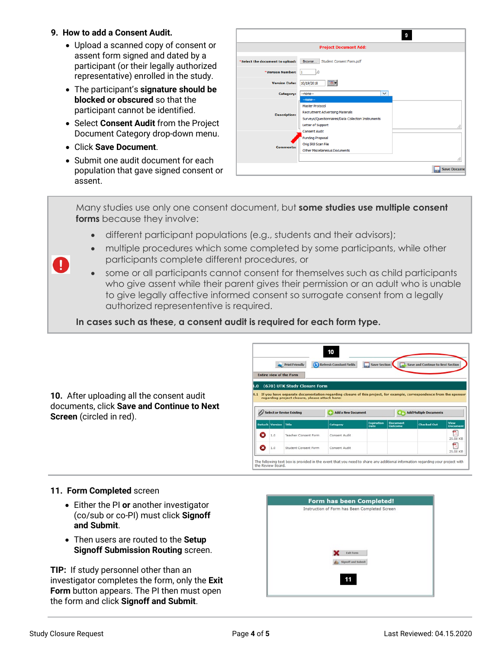### **9. How to add a Consent Audit.**

- Upload a scanned copy of consent or assent form signed and dated by a participant (or their legally authorized representative) enrolled in the study.
- The participant's **signature should be blocked or obscured** so that the participant cannot be identified.
- Select **Consent Audit** from the Project Document Category drop-down menu.
- Click **Save Document**.

 $\mathbf 0$ 

• Submit one audit document for each population that gave signed consent or assent.

|                                 | <b>Project Document Add:</b>                                                                                                                              |    |
|---------------------------------|-----------------------------------------------------------------------------------------------------------------------------------------------------------|----|
| *Select the document to upload: | Browse<br>Student Consent Form.pdf                                                                                                                        |    |
| *Version Number:                | .n<br>1                                                                                                                                                   |    |
| <b>Version Date:</b>            | ত-<br>10/19/2018                                                                                                                                          |    |
| Category:                       | $\checkmark$<br>$-$ none $-$                                                                                                                              |    |
| <b>Description:</b>             | $-none-$<br><b>Master Protocol</b><br><b>Recruitment Advertising Materials</b><br>Surveys/Questionnaires/Data Collection Instruments<br>Letter of Support | i  |
| <b>Comments:</b>                | <b>Consent Audit</b><br><b>Funding Proposal</b><br>Orig IRB Scan File<br>Other Miscellaneous Documents                                                    | ä. |

Many studies use only one consent document, but **some studies use multiple consent forms** because they involve:

- different participant populations (e.g., students and their advisors);
- multiple procedures which some completed by some participants, while other participants complete different procedures, or
- some or all participants cannot consent for themselves such as child participants who give assent while their parent gives their permission or an adult who is unable to give legally affective informed consent so surrogate consent from a legally authorized represententive is required.

**In cases such as these, a consent audit is required for each form type.**

|                                                                                                                     |                              |                      | <b>Print Friendly</b><br><b>Entire view of the Form</b>                                                     | 10<br>Refresh Constant Fields | Save Section                     |                                                                                                                                                     | Save and Continue to Next Section |                         |  |  |  |
|---------------------------------------------------------------------------------------------------------------------|------------------------------|----------------------|-------------------------------------------------------------------------------------------------------------|-------------------------------|----------------------------------|-----------------------------------------------------------------------------------------------------------------------------------------------------|-----------------------------------|-------------------------|--|--|--|
| 10. After uploading all the consent audit<br>documents, click Save and Continue to Next<br>Screen (circled in red). | (670) UTK Study Closure Form |                      |                                                                                                             |                               |                                  |                                                                                                                                                     |                                   |                         |  |  |  |
|                                                                                                                     | 4.1                          |                      | regarding project closure, please attach here:<br>// Select or Revise Existing<br><b>Add a New Document</b> |                               |                                  | If you have separate documentation regarding closure of this project, for example, correspondence from the sponsor<br><b>Add Multiple Documents</b> |                                   |                         |  |  |  |
|                                                                                                                     |                              | Detach Version Title |                                                                                                             | Category                      | <b>Expiration</b><br><b>Date</b> | <b>Document</b><br>Outcome                                                                                                                          | <b>Checked Out</b>                | View<br><b>Document</b> |  |  |  |
|                                                                                                                     | O                            | 1.0                  | Teacher Consent Form                                                                                        | Consent Audit                 |                                  |                                                                                                                                                     |                                   | 톉<br>25.08 KB           |  |  |  |
|                                                                                                                     | Q                            | 1.0                  | Student Consent Form                                                                                        | Consent Audit                 |                                  |                                                                                                                                                     |                                   | a.<br>P.<br>25.08 KB    |  |  |  |

### **11. Form Completed** screen

- Either the PI **or** another investigator (co/sub or co-PI) must click **Signoff and Submit**.
- Then users are routed to the **Setup Signoff Submission Routing** screen.

**TIP:** If study personnel other than an investigator completes the form, only the **Exit Form** button appears. The PI then must open the form and click **Signoff and Submit**.